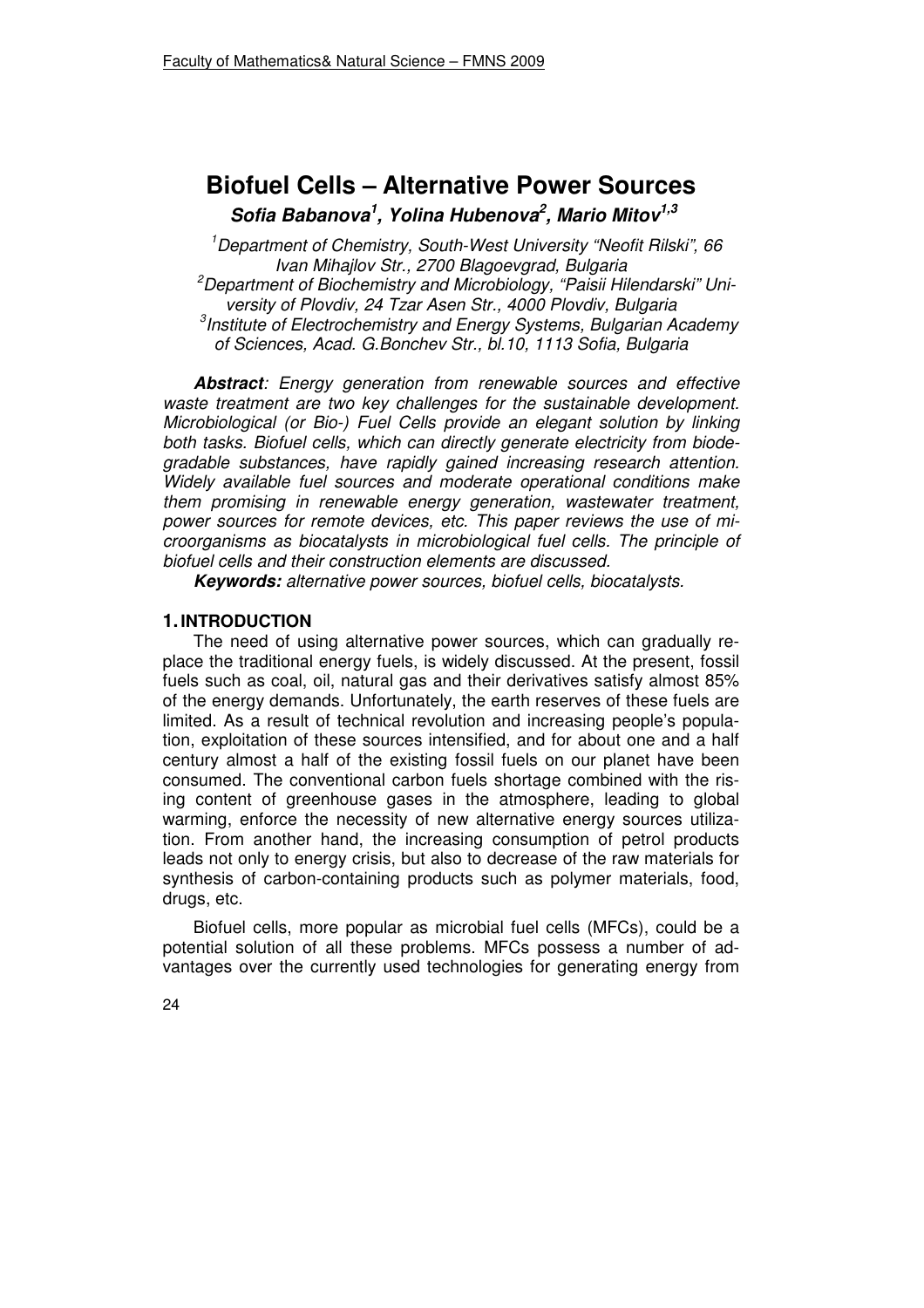# **Biofuel Cells – Alternative Power Sources Sofia Babanova<sup>1</sup> , Yolina Hubenova<sup>2</sup> , Mario Mitov1,3**

*<sup>1</sup>Department of Chemistry, South-West University "Neofit Rilski", 66 Ivan Mihajlov Str., 2700 Blagoevgrad, Bulgaria* 

*<sup>2</sup>Department of Biochemistry and Microbiology, "Paisii Hilendarski" University of Plovdiv, 24 Tzar Asen Str., 4000 Plovdiv, Bulgaria* 

*3 Institute of Electrochemistry and Energy Systems, Bulgarian Academy of Sciences, Acad. G.Bonchev Str., bl.10, 1113 Sofia, Bulgaria* 

**Abstract***: Energy generation from renewable sources and effective waste treatment are two key challenges for the sustainable development. Microbiological (or Bio-) Fuel Cells provide an elegant solution by linking both tasks. Biofuel cells, which can directly generate electricity from biodegradable substances, have rapidly gained increasing research attention. Widely available fuel sources and moderate operational conditions make them promising in renewable energy generation, wastewater treatment, power sources for remote devices, etc. This paper reviews the use of microorganisms as biocatalysts in microbiological fuel cells. The principle of biofuel cells and their construction elements are discussed.* 

**Keywords:** *alternative power sources, biofuel cells, biocatalysts.* 

## **1. INTRODUCTION**

The need of using alternative power sources, which can gradually replace the traditional energy fuels, is widely discussed. At the present, fossil fuels such as coal, oil, natural gas and their derivatives satisfy almost 85% of the energy demands. Unfortunately, the earth reserves of these fuels are limited. As a result of technical revolution and increasing people's population, exploitation of these sources intensified, and for about one and a half century almost a half of the existing fossil fuels on our planet have been consumed. The conventional carbon fuels shortage combined with the rising content of greenhouse gases in the atmosphere, leading to global warming, enforce the necessity of new alternative energy sources utilization. From another hand, the increasing consumption of petrol products leads not only to energy crisis, but also to decrease of the raw materials for synthesis of carbon-containing products such as polymer materials, food, drugs, etc.

Biofuel cells, more popular as microbial fuel cells (MFCs), could be a potential solution of all these problems. MFCs possess a number of advantages over the currently used technologies for generating energy from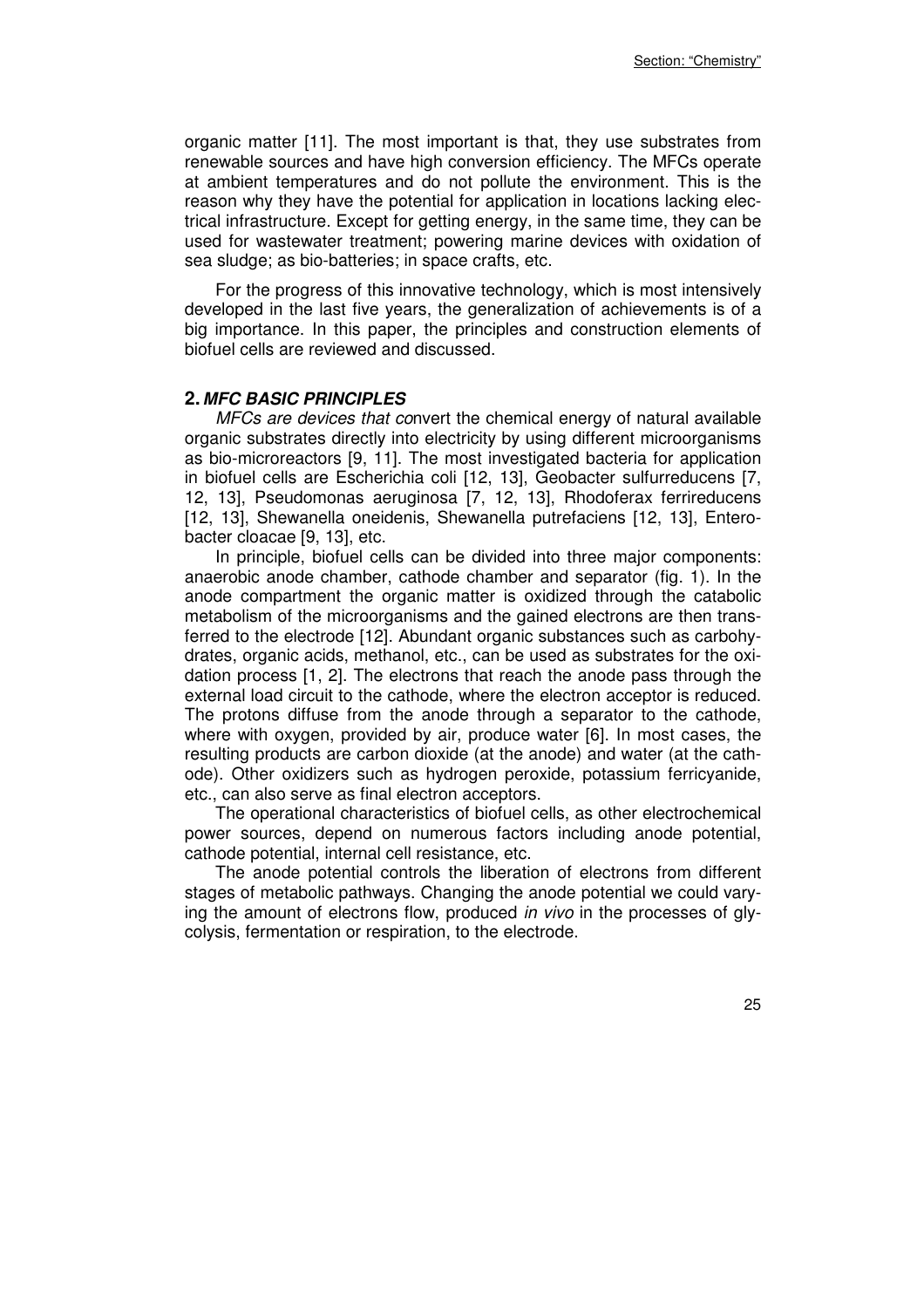organic matter [11]. The most important is that, they use substrates from renewable sources and have high conversion efficiency. The MFCs operate at ambient temperatures and do not pollute the environment. This is the reason why they have the potential for application in locations lacking electrical infrastructure. Except for getting energy, in the same time, they can be used for wastewater treatment; powering marine devices with oxidation of sea sludge; as bio-batteries; in space crafts, etc.

For the progress of this innovative technology, which is most intensively developed in the last five years, the generalization of achievements is of a big importance. In this paper, the principles and construction elements of biofuel cells are reviewed and discussed.

#### **2. MFC BASIC PRINCIPLES**

*MFCs are devices that co*nvert the chemical energy of natural available organic substrates directly into electricity by using different microorganisms as bio-microreactors [9, 11]. The most investigated bacteria for application in biofuel cells are Escherichia coli [12, 13], Geobacter sulfurreducens [7, 12, 13], Pseudomonas aeruginosa [7, 12, 13], Rhodoferax ferrireducens [12, 13], Shewanella oneidenis, Shewanella putrefaciens [12, 13], Enterobacter cloacae [9, 13], etc.

In principle, biofuel cells can be divided into three major components: anaerobic anode chamber, cathode chamber and separator (fig. 1). In the anode compartment the organic matter is oxidized through the catabolic metabolism of the microorganisms and the gained electrons are then transferred to the electrode [12]. Abundant organic substances such as carbohydrates, organic acids, methanol, etc., can be used as substrates for the oxidation process [1, 2]. The electrons that reach the anode pass through the external load circuit to the cathode, where the electron acceptor is reduced. The protons diffuse from the anode through a separator to the cathode, where with oxygen, provided by air, produce water [6]. In most cases, the resulting products are carbon dioxide (at the anode) and water (at the cathode). Other oxidizers such as hydrogen peroxide, potassium ferricyanide, etc., can also serve as final electron acceptors.

The operational characteristics of biofuel cells, as other electrochemical power sources, depend on numerous factors including anode potential, cathode potential, internal cell resistance, etc.

The anode potential controls the liberation of electrons from different stages of metabolic pathways. Changing the anode potential we could varying the amount of electrons flow, produced *in vivo* in the processes of glycolysis, fermentation or respiration, to the electrode.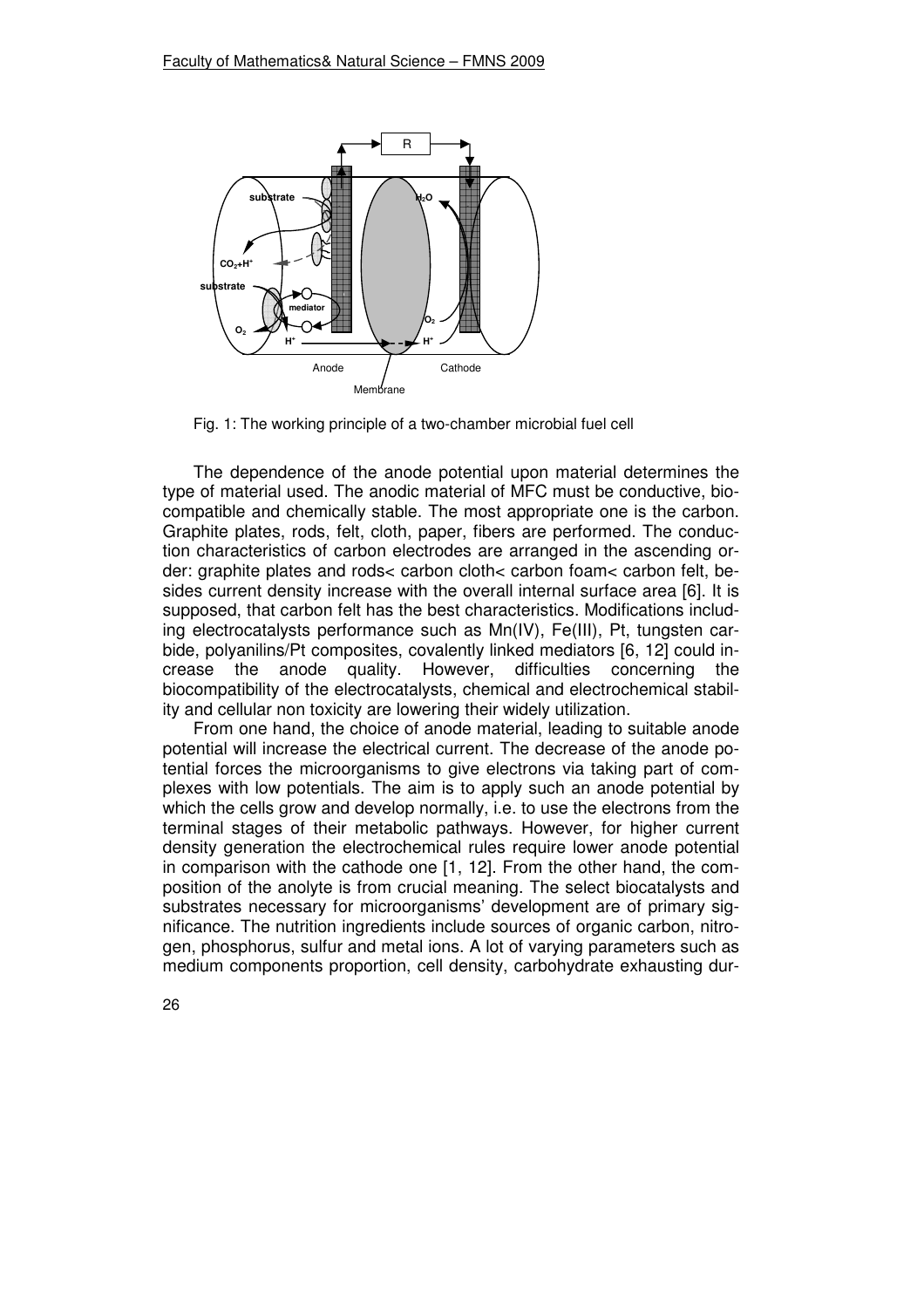

Fig. 1: The working principle of a two-chamber microbial fuel cell

The dependence of the anode potential upon material determines the type of material used. The anodic material of MFC must be conductive, biocompatible and chemically stable. The most appropriate one is the carbon. Graphite plates, rods, felt, cloth, paper, fibers are performed. The conduction characteristics of carbon electrodes are arranged in the ascending order: graphite plates and rods< carbon cloth< carbon foam< carbon felt, besides current density increase with the overall internal surface area [6]. It is supposed, that carbon felt has the best characteristics. Modifications including electrocatalysts performance such as Mn(ІV), Fе(ІІІ), Pt, tungsten carbide, polyanilins/Pt composites, covalently linked mediators [6, 12] could increase the anode quality. However, difficulties concerning the biocompatibility of the electrocatalysts, chemical and electrochemical stability and cellular non toxicity are lowering their widely utilization.

From one hand, the choice of anode material, leading to suitable anode potential will increase the electrical current. The decrease of the anode potential forces the microorganisms to give electrons via taking part of complexes with low potentials. The aim is to apply such an anode potential by which the cells grow and develop normally, i.e. to use the electrons from the terminal stages of their metabolic pathways. However, for higher current density generation the electrochemical rules require lower anode potential in comparison with the cathode one [1, 12]. From the other hand, the composition of the anolyte is from crucial meaning. The select biocatalysts and substrates necessary for microorganisms' development are of primary significance. The nutrition ingredients include sources of organic carbon, nitrogen, phosphorus, sulfur and metal ions. A lot of varying parameters such as medium components proportion, cell density, carbohydrate exhausting dur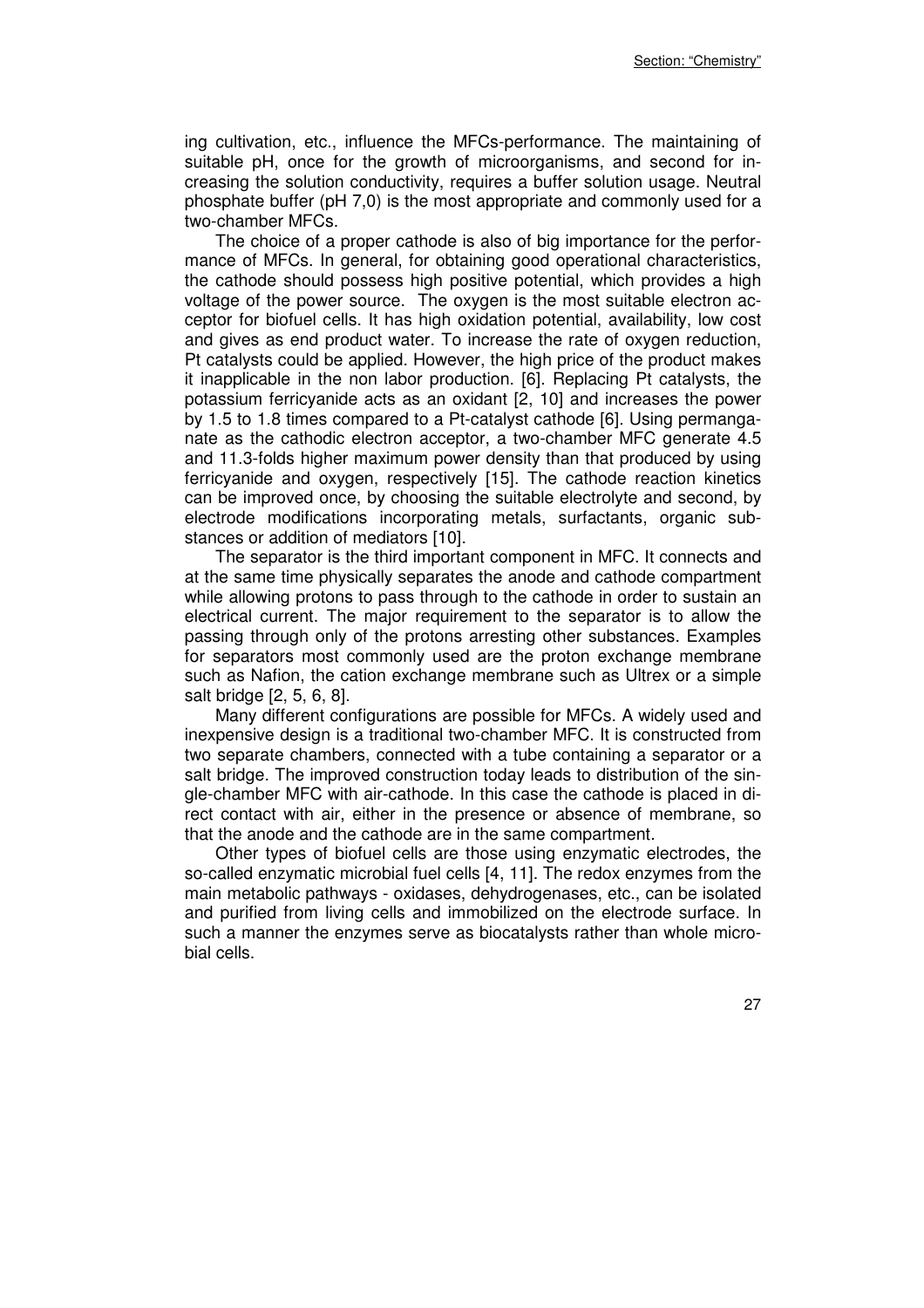ing cultivation, etc., influence the MFCs-performance. The maintaining of suitable pH, once for the growth of microorganisms, and second for increasing the solution conductivity, requires a buffer solution usage. Neutral phosphate buffer (pH 7,0) is the most appropriate and commonly used for a two-chamber MFCs.

The choice of a proper cathode is also of big importance for the performance of MFCs. In general, for obtaining good operational characteristics, the cathode should possess high positive potential, which provides a high voltage of the power source. The oxygen is the most suitable electron acceptor for biofuel cells. It has high oxidation potential, availability, low cost and gives as end product water. To increase the rate of oxygen reduction, Pt catalysts could be applied. However, the high price of the product makes it inapplicable in the non labor production. [6]. Replacing Pt catalysts, the potassium ferricyanide acts as an oxidant [2, 10] and increases the power by 1.5 to 1.8 times compared to a Pt-catalyst cathode [6]. Using permanganate as the cathodic electron acceptor, a two-chamber MFC generate 4.5 and 11.3-folds higher maximum power density than that produced by using ferricyanide and oxygen, respectively [15]. The cathode reaction kinetics can be improved once, by choosing the suitable electrolyte and second, by electrode modifications incorporating metals, surfactants, organic substances or addition of mediators [10].

The separator is the third important component in MFC. It connects and at the same time physically separates the anode and cathode compartment while allowing protons to pass through to the cathode in order to sustain an electrical current. The major requirement to the separator is to allow the passing through only of the protons arresting other substances. Examples for separators most commonly used are the proton exchange membrane such as Nafion, the cation exchange membrane such as Ultrex or a simple salt bridge [2, 5, 6, 8].

Many different configurations are possible for MFCs. A widely used and inexpensive design is a traditional two-chamber MFC. It is constructed from two separate chambers, connected with a tube containing a separator or a salt bridge. The improved construction today leads to distribution of the single-chamber MFC with air-cathode. In this case the cathode is placed in direct contact with air, either in the presence or absence of membrane, so that the anode and the cathode are in the same compartment.

Other types of biofuel cells are those using enzymatic electrodes, the so-called enzymatic microbial fuel cells [4, 11]. The redox enzymes from the main metabolic pathways - oxidases, dehydrogenases, etc., can be isolated and purified from living cells and immobilized on the electrode surface. In such a manner the enzymes serve as biocatalysts rather than whole microbial cells.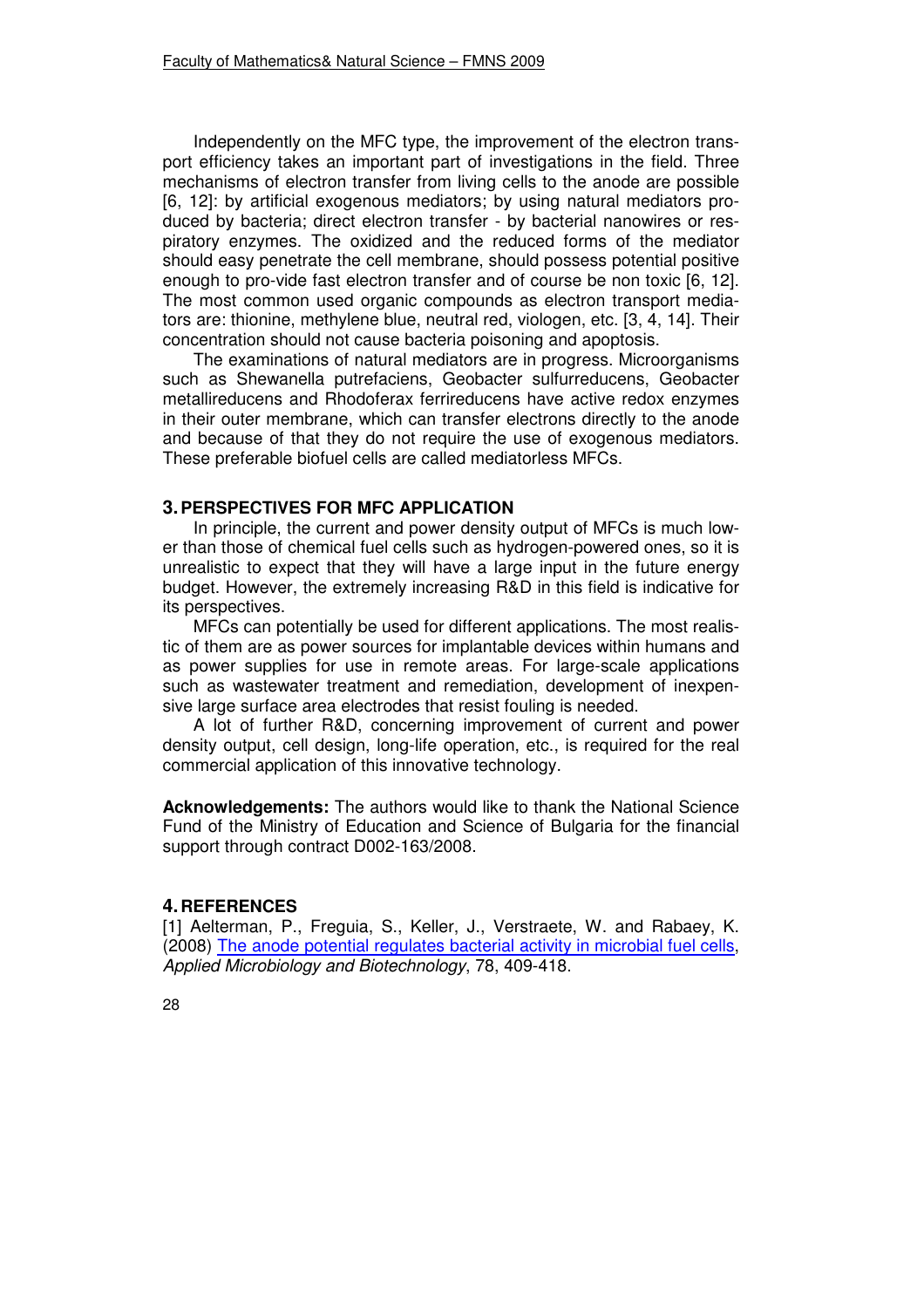Independently on the MFC type, the improvement of the electron transport efficiency takes an important part of investigations in the field. Three mechanisms of electron transfer from living cells to the anode are possible [6, 12]: by artificial exogenous mediators; by using natural mediators produced by bacteria; direct electron transfer - by bacterial nanowires or respiratory enzymes. The oxidized and the reduced forms of the mediator should easy penetrate the cell membrane, should possess potential positive enough to pro-vide fast electron transfer and of course be non toxic [6, 12]. The most common used organic compounds as electron transport mediators are: thionine, methylene blue, neutral red, viologen, etc. [3, 4, 14]. Their concentration should not cause bacteria poisoning and apoptosis.

The examinations of natural mediators are in progress. Microorganisms such as Shewanella putrefaciens, Geobacter sulfurreducens, Geobacter metallireducens and Rhodoferax ferrireducens have active redox enzymes in their outer membrane, which can transfer electrons directly to the anode and because of that they do not require the use of exogenous mediators. These preferable biofuel cells are called mediatorless MFCs.

### **3. PERSPECTIVES FOR MFC APPLICATION**

In principle, the current and power density output of MFCs is much lower than those of chemical fuel cells such as hydrogen-powered ones, so it is unrealistic to expect that they will have a large input in the future energy budget. However, the extremely increasing R&D in this field is indicative for its perspectives.

MFCs can potentially be used for different applications. The most realistic of them are as power sources for implantable devices within humans and as power supplies for use in remote areas. For large-scale applications such as wastewater treatment and remediation, development of inexpensive large surface area electrodes that resist fouling is needed.

A lot of further R&D, concerning improvement of current and power density output, cell design, long-life operation, etc., is required for the real commercial application of this innovative technology.

**Acknowledgements:** The authors would like to thank the National Science Fund of the Ministry of Education and Science of Bulgaria for the financial support through contract D002-163/2008.

# **4. REFERENCES**

[1] Aelterman, P., Freguia, S., Keller, J., Verstraete, W. and Rabaey, K. (2008) The anode potential regulates bacterial activity in microbial fuel cells, *Applied Microbiology and Biotechnology*, 78, 409-418.